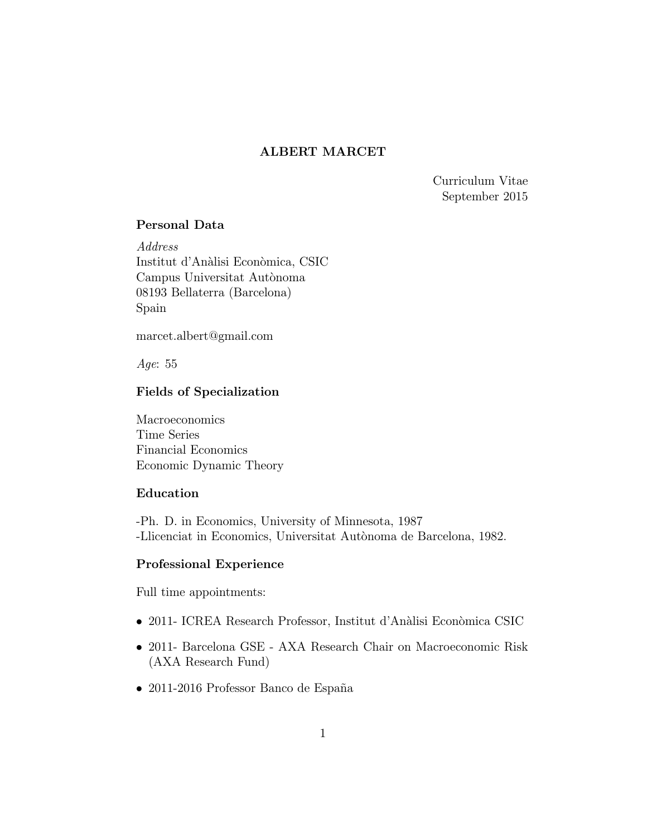# ALBERT MARCET

Curriculum Vitae September 2015

## Personal Data

Address Institut d'Analisi Economica, CSIC Campus Universitat Autònoma 08193 Bellaterra (Barcelona) Spain

marcet.albert@gmail.com

Age: 55

## Fields of Specialization

Macroeconomics Time Series Financial Economics Economic Dynamic Theory

## Education

-Ph. D. in Economics, University of Minnesota, 1987 -Llicenciat in Economics, Universitat Autonoma de Barcelona, 1982.

## Professional Experience

Full time appointments:

- 2011- ICREA Research Professor, Institut d'Analisi Economica CSIC
- 2011- Barcelona GSE AXA Research Chair on Macroeconomic Risk (AXA Research Fund)
- $\bullet$  2011-2016 Professor Banco de España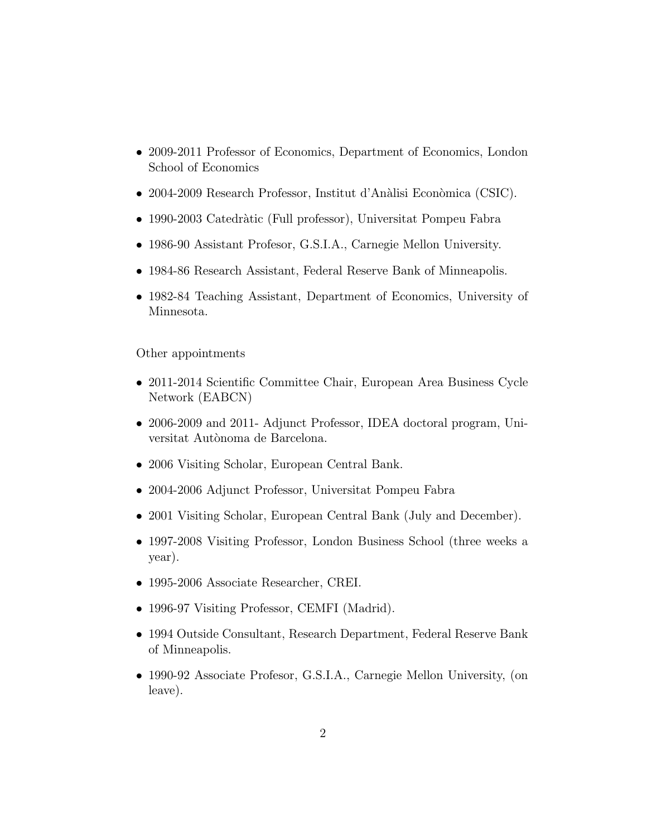- 2009-2011 Professor of Economics, Department of Economics, London School of Economics
- 2004-2009 Research Professor, Institut d'Analisi Economica (CSIC).
- 1990-2003 Catedratic (Full professor), Universitat Pompeu Fabra
- 1986-90 Assistant Profesor, G.S.I.A., Carnegie Mellon University.
- 1984-86 Research Assistant, Federal Reserve Bank of Minneapolis.
- 1982-84 Teaching Assistant, Department of Economics, University of Minnesota.

Other appointments

- 2011-2014 Scientific Committee Chair, European Area Business Cycle Network (EABCN)
- 2006-2009 and 2011- Adjunct Professor, IDEA doctoral program, Universitat Autònoma de Barcelona.
- 2006 Visiting Scholar, European Central Bank.
- 2004-2006 Adjunct Professor, Universitat Pompeu Fabra
- 2001 Visiting Scholar, European Central Bank (July and December).
- 1997-2008 Visiting Professor, London Business School (three weeks a year).
- 1995-2006 Associate Researcher, CREI.
- 1996-97 Visiting Professor, CEMFI (Madrid).
- 1994 Outside Consultant, Research Department, Federal Reserve Bank of Minneapolis.
- 1990-92 Associate Profesor, G.S.I.A., Carnegie Mellon University, (on leave).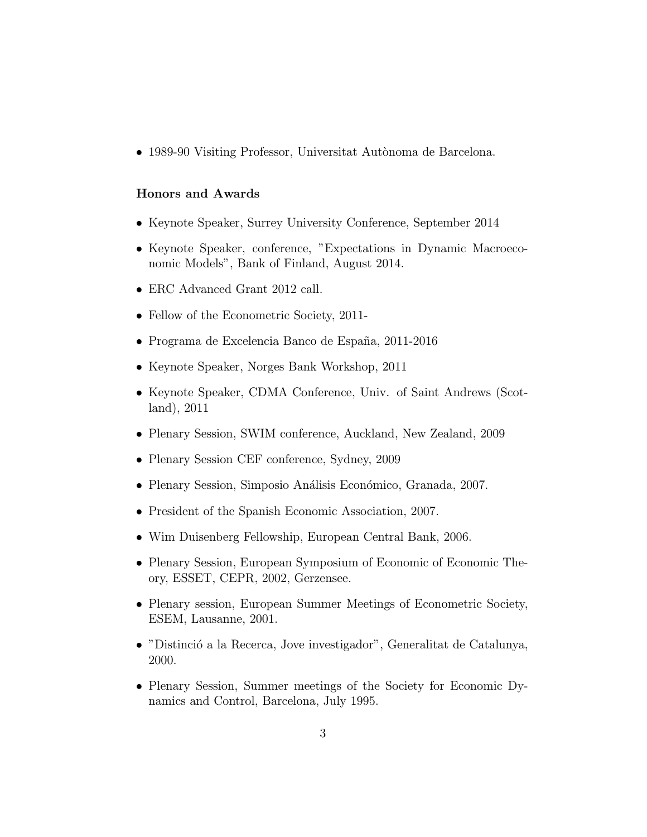• 1989-90 Visiting Professor, Universitat Autònoma de Barcelona.

## Honors and Awards

- Keynote Speaker, Surrey University Conference, September 2014
- Keynote Speaker, conference, "Expectations in Dynamic Macroeconomic Models", Bank of Finland, August 2014.
- ERC Advanced Grant 2012 call.
- Fellow of the Econometric Society, 2011-
- Programa de Excelencia Banco de España, 2011-2016
- Keynote Speaker, Norges Bank Workshop, 2011
- Keynote Speaker, CDMA Conference, Univ. of Saint Andrews (Scotland), 2011
- Plenary Session, SWIM conference, Auckland, New Zealand, 2009
- Plenary Session CEF conference, Sydney, 2009
- Plenary Session, Simposio Análisis Económico, Granada, 2007.
- President of the Spanish Economic Association, 2007.
- Wim Duisenberg Fellowship, European Central Bank, 2006.
- Plenary Session, European Symposium of Economic of Economic Theory, ESSET, CEPR, 2002, Gerzensee.
- Plenary session, European Summer Meetings of Econometric Society, ESEM, Lausanne, 2001.
- "Distincio a la Recerca, Jove investigador", Generalitat de Catalunya, 2000.
- Plenary Session, Summer meetings of the Society for Economic Dynamics and Control, Barcelona, July 1995.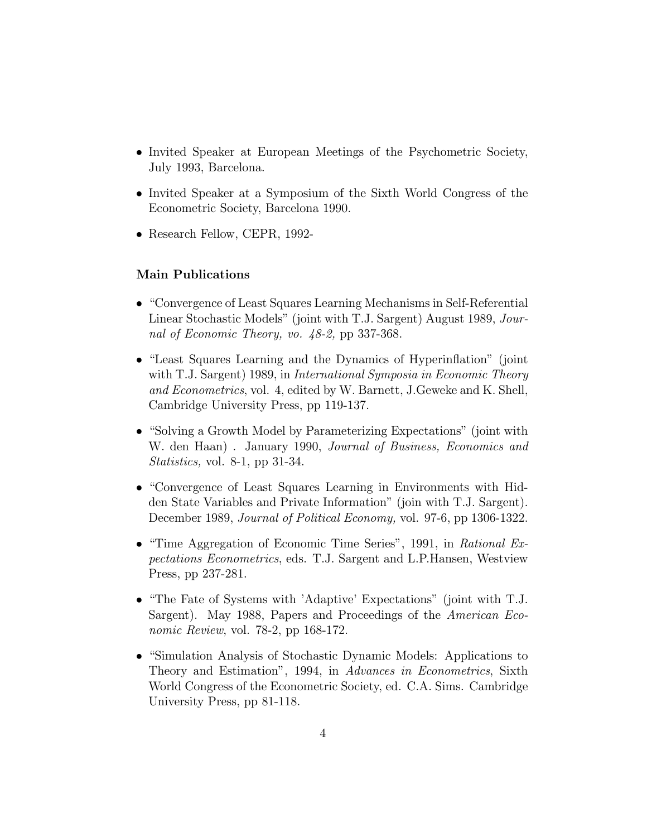- Invited Speaker at European Meetings of the Psychometric Society, July 1993, Barcelona.
- Invited Speaker at a Symposium of the Sixth World Congress of the Econometric Society, Barcelona 1990.
- Research Fellow, CEPR, 1992-

## Main Publications

- "Convergence of Least Squares Learning Mechanisms in Self-Referential Linear Stochastic Models" (joint with T.J. Sargent) August 1989, Journal of Economic Theory, vo. 48-2, pp 337-368.
- "Least Squares Learning and the Dynamics of Hyperinflation" (joint with T.J. Sargent) 1989, in *International Symposia in Economic Theory* and Econometrics, vol. 4, edited by W. Barnett, J.Geweke and K. Shell, Cambridge University Press, pp 119-137.
- $\bullet$  "Solving a Growth Model by Parameterizing Expectations" (joint with W. den Haan). January 1990, Journal of Business, Economics and Statistics, vol. 8-1, pp 31-34.
- "Convergence of Least Squares Learning in Environments with Hidden State Variables and Private Information" (join with T.J. Sargent). December 1989, Journal of Political Economy, vol. 97-6, pp 1306-1322.
- $\bullet$  "Time Aggregation of Economic Time Series", 1991, in Rational Expectations Econometrics, eds. T.J. Sargent and L.P.Hansen, Westview Press, pp 237-281.
- "The Fate of Systems with 'Adaptive' Expectations" (joint with T.J. Sargent). May 1988, Papers and Proceedings of the *American Eco*nomic Review, vol. 78-2, pp 168-172.
- "Simulation Analysis of Stochastic Dynamic Models: Applications to Theory and Estimation", 1994, in Advances in Econometrics, Sixth World Congress of the Econometric Society, ed. C.A. Sims. Cambridge University Press, pp 81-118.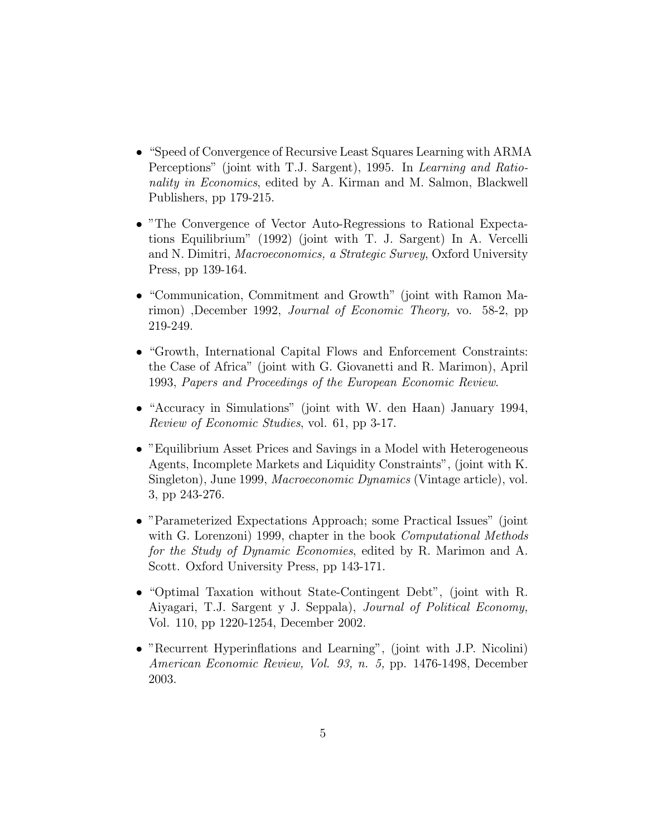- "Speed of Convergence of Recursive Least Squares Learning with ARMA Perceptions" (joint with T.J. Sargent), 1995. In Learning and Rationality in Economics, edited by A. Kirman and M. Salmon, Blackwell Publishers, pp 179-215.
- "The Convergence of Vector Auto-Regressions to Rational Expectations Equilibrium" (1992) (joint with T. J. Sargent) In A. Vercelli and N. Dimitri, *Macroeconomics, a Strategic Survey*, Oxford University Press, pp 139-164.
- "Communication, Commitment and Growth" (joint with Ramon Marimon) ,December 1992, Journal of Economic Theory, vo. 58-2, pp 219-249.
- "Growth, International Capital Flows and Enforcement Constraints: the Case of Africa" (joint with G. Giovanetti and R. Marimon), April 1993, Papers and Proceedings of the European Economic Review.
- "Accuracy in Simulations" (joint with W. den Haan) January 1994, Review of Economic Studies, vol. 61, pp 3-17.
- "Equilibrium Asset Prices and Savings in a Model with Heterogeneous Agents, Incomplete Markets and Liquidity Constraints", (joint with K. Singleton), June 1999, Macroeconomic Dynamics (Vintage article), vol. 3, pp 243-276.
- "Parameterized Expectations Approach; some Practical Issues" (joint with G. Lorenzoni) 1999, chapter in the book *Computational Methods* for the Study of Dynamic Economies, edited by R. Marimon and A. Scott. Oxford University Press, pp 143-171.
- $\bullet$  "Optimal Taxation without State-Contingent Debt", (joint with R. Aiyagari, T.J. Sargent y J. Seppala), Journal of Political Economy, Vol. 110, pp 1220-1254, December 2002.
- "Recurrent Hyperinflations and Learning", (joint with J.P. Nicolini) American Economic Review, Vol. 93, n. 5, pp. 1476-1498, December 2003.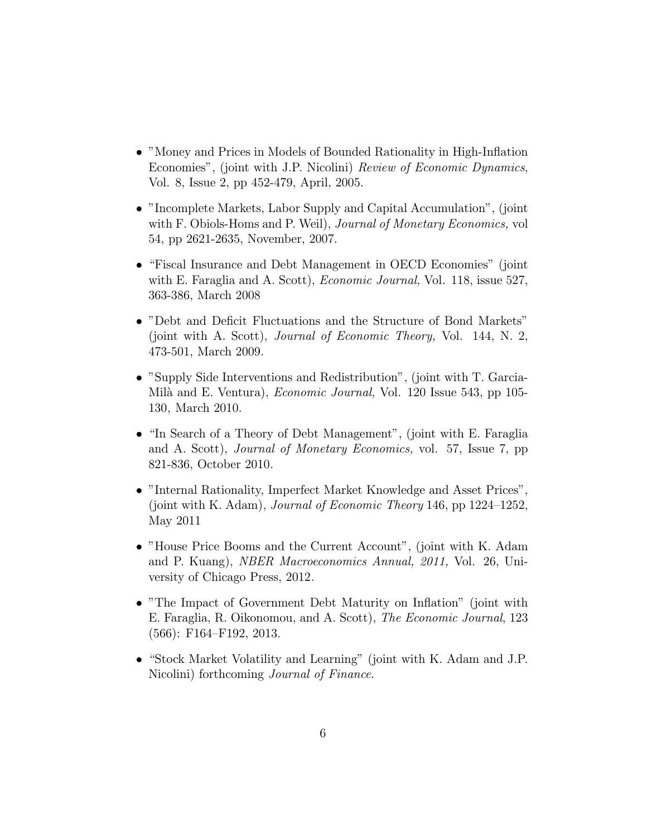- "Money and Prices in Models of Bounded Rationality in High-Inflation Economies", (joint with J.P. Nicolini) Review of Economic Dynamics, Vol. 8, Issue 2, pp 452-479, April, 2005.
- "Incomplete Markets, Labor Supply and Capital Accumulation", (joint with F. Obiols-Homs and P. Weil), *Journal of Monetary Economics*, vol 54, pp 2621-2635, November, 2007.
- "Fiscal Insurance and Debt Management in OECD Economies" (joint with E. Faraglia and A. Scott), *Economic Journal*, Vol. 118, issue 527, 363-386, March 2008
- "Debt and Deficit Fluctuations and the Structure of Bond Markets" (joint with A. Scott), Journal of Economic Theory, Vol. 144, N. 2, 473-501, March 2009.
- "Supply Side Interventions and Redistribution", (joint with T. Garcia-Mila and E. Ventura), Economic Journal, Vol. 120 Issue 543, pp 105- 130, March 2010.
- "In Search of a Theory of Debt Management", (joint with E. Faraglia and A. Scott), *Journal of Monetary Economics*, vol. 57, Issue 7, pp 821-836, October 2010.
- "Internal Rationality, Imperfect Market Knowledge and Asset Prices", (joint with K. Adam), *Journal of Economic Theory* 146, pp  $1224-1252$ , May 2011
- "House Price Booms and the Current Account", (joint with K. Adam and P. Kuang), NBER Macroeconomics Annual, 2011, Vol. 26, University of Chicago Press, 2012.
- "The Impact of Government Debt Maturity on Inflation" (joint with E. Faraglia, R. Oikonomou, and A. Scott), The Economic Journal, 123  $(566):$  F164-F192, 2013.
- "Stock Market Volatility and Learning" (joint with K. Adam and J.P. Nicolini) forthcoming Journal of Finance.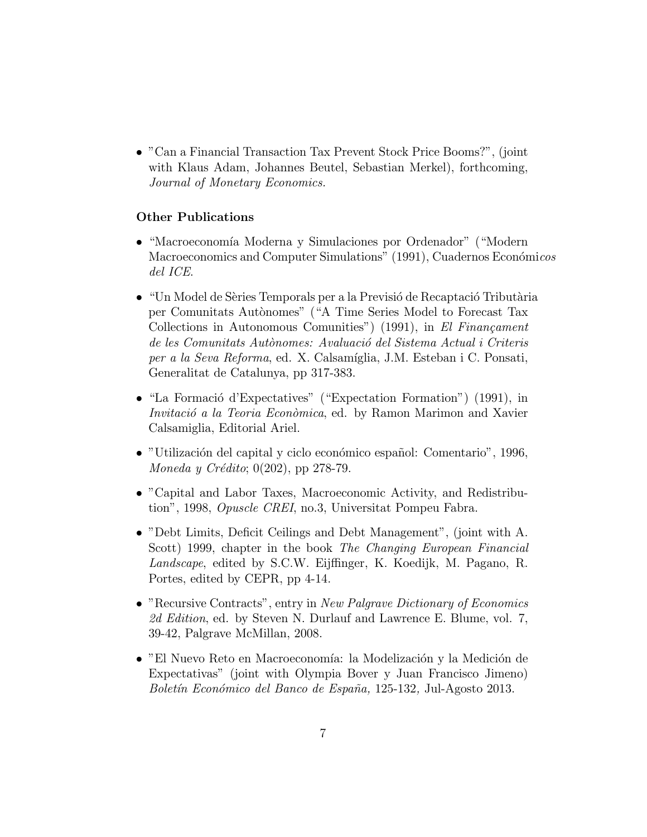"Can a Financial Transaction Tax Prevent Stock Price Booms?", (joint with Klaus Adam, Johannes Beutel, Sebastian Merkel), forthcoming, Journal of Monetary Economics.

## Other Publications

- $\bullet$  "Macroeconomía Moderna y Simulaciones por Ordenador" ("Modern Macroeconomics and Computer Simulations" (1991), Cuadernos Económicos del ICE.
- \Un Model de Series Temporals per a la Previsio de Recaptacio Tributaria per Comunitats Autonomes" ("A Time Series Model to Forecast Tax Collections in Autonomous Comunities") (1991), in El Financament de les Comunitats Autonomes: Avaluacio del Sistema Actual i Criteris per a la Seva Reforma, ed. X. Calsamíglia, J.M. Esteban i C. Ponsati, Generalitat de Catalunya, pp 317-383.
- $\bullet$  "La Formació d'Expectatives" ("Expectation Formation") (1991), in Invitació a la Teoria Econòmica, ed. by Ramon Marimon and Xavier Calsamiglia, Editorial Ariel.
- "Utilización del capital y ciclo económico español: Comentario", 1996, Moneda y Crédito; 0(202), pp 278-79.
- "Capital and Labor Taxes, Macroeconomic Activity, and Redistribution", 1998, Opuscle CREI, no.3, Universitat Pompeu Fabra.
- "Debt Limits, Deficit Ceilings and Debt Management", (joint with A. Scott) 1999, chapter in the book The Changing European Financial Landscape, edited by S.C.W. Eijffinger, K. Koedijk, M. Pagano, R. Portes, edited by CEPR, pp 4-14.
- "Recursive Contracts", entry in New Palgrave Dictionary of Economics 2d Edition, ed. by Steven N. Durlauf and Lawrence E. Blume, vol. 7, 39-42, Palgrave McMillan, 2008.
- "El Nuevo Reto en Macroeconoma: la Modelizacion y la Medicion de Expectativas" (joint with Olympia Bover y Juan Francisco Jimeno) Boletín Económico del Banco de España, 125-132, Jul-Agosto 2013.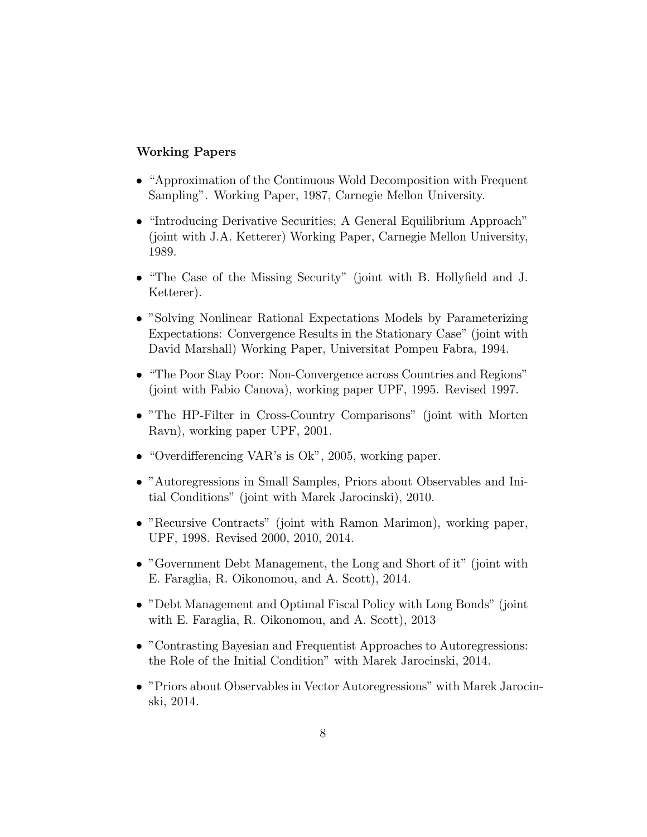## Working Papers

- "Approximation of the Continuous Wold Decomposition with Frequent Sampling". Working Paper, 1987, Carnegie Mellon University.
- "Introducing Derivative Securities; A General Equilibrium Approach" (joint with J.A. Ketterer) Working Paper, Carnegie Mellon University, 1989.
- "The Case of the Missing Security" (joint with B. Hollyfield and J. Ketterer).
- "Solving Nonlinear Rational Expectations Models by Parameterizing Expectations: Convergence Results in the Stationary Case" (joint with David Marshall) Working Paper, Universitat Pompeu Fabra, 1994.
- "The Poor Stay Poor: Non-Convergence across Countries and Regions" (joint with Fabio Canova), working paper UPF, 1995. Revised 1997.
- "The HP-Filter in Cross-Country Comparisons" (joint with Morten Ravn), working paper UPF, 2001.
- $\bullet$  "Overdifferencing VAR's is Ok", 2005, working paper.
- "Autoregressions in Small Samples, Priors about Observables and Initial Conditions" (joint with Marek Jarocinski), 2010.
- "Recursive Contracts" (joint with Ramon Marimon), working paper, UPF, 1998. Revised 2000, 2010, 2014.
- "Government Debt Management, the Long and Short of it" (joint with E. Faraglia, R. Oikonomou, and A. Scott), 2014.
- "Debt Management and Optimal Fiscal Policy with Long Bonds" (joint with E. Faraglia, R. Oikonomou, and A. Scott), 2013
- "Contrasting Bayesian and Frequentist Approaches to Autoregressions: the Role of the Initial Condition" with Marek Jarocinski, 2014.
- "Priors about Observables in Vector Autoregressions" with Marek Jarocinski, 2014.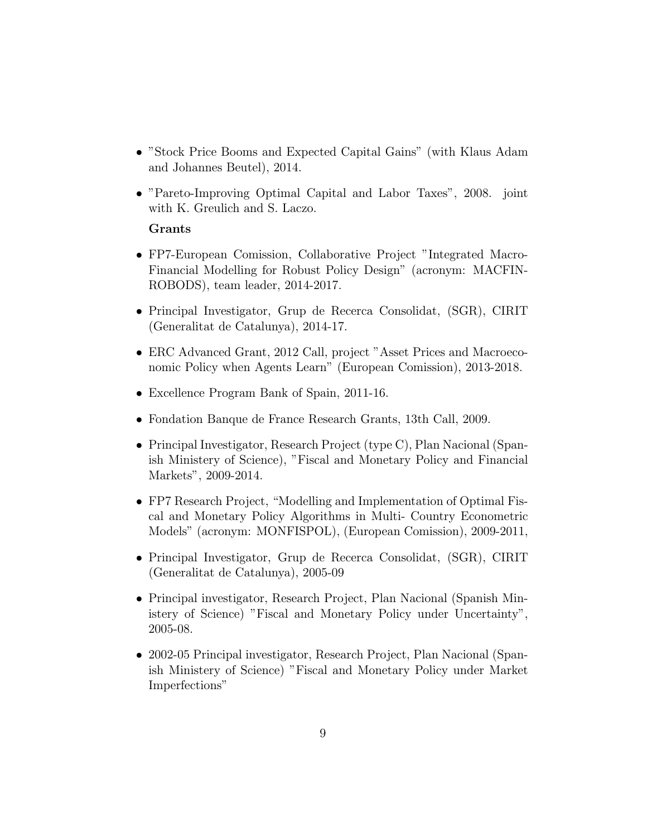- "Stock Price Booms and Expected Capital Gains" (with Klaus Adam and Johannes Beutel), 2014.
- "Pareto-Improving Optimal Capital and Labor Taxes", 2008. joint with K. Greulich and S. Laczo.

## Grants

- FP7-European Comission, Collaborative Project "Integrated Macro-Financial Modelling for Robust Policy Design" (acronym: MACFIN-ROBODS), team leader, 2014-2017.
- Principal Investigator, Grup de Recerca Consolidat, (SGR), CIRIT (Generalitat de Catalunya), 2014-17.
- ERC Advanced Grant, 2012 Call, project "Asset Prices and Macroeconomic Policy when Agents Learn" (European Comission), 2013-2018.
- Excellence Program Bank of Spain, 2011-16.
- Fondation Banque de France Research Grants, 13th Call, 2009.
- Principal Investigator, Research Project (type C), Plan Nacional (Spanish Ministery of Science), "Fiscal and Monetary Policy and Financial Markets", 2009-2014.
- $\bullet$  FP7 Research Project, "Modelling and Implementation of Optimal Fiscal and Monetary Policy Algorithms in Multi- Country Econometric Models" (acronym: MONFISPOL), (European Comission), 2009-2011,
- Principal Investigator, Grup de Recerca Consolidat, (SGR), CIRIT (Generalitat de Catalunya), 2005-09
- Principal investigator, Research Project, Plan Nacional (Spanish Ministery of Science) "Fiscal and Monetary Policy under Uncertainty", 2005-08.
- 2002-05 Principal investigator, Research Project, Plan Nacional (Spanish Ministery of Science) "Fiscal and Monetary Policy under Market Imperfections"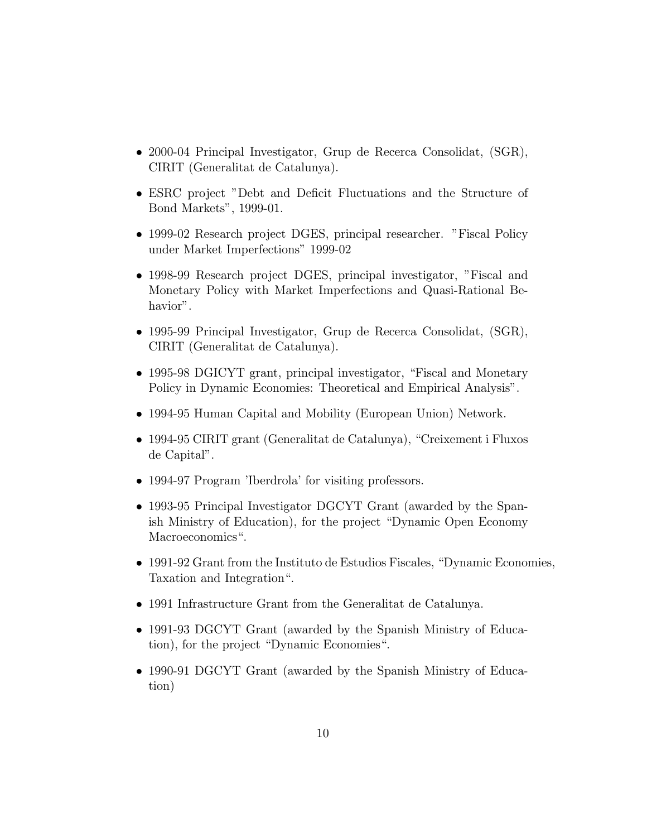- 2000-04 Principal Investigator, Grup de Recerca Consolidat, (SGR), CIRIT (Generalitat de Catalunya).
- ESRC project "Debt and Deficit Fluctuations and the Structure of Bond Markets", 1999-01.
- 1999-02 Research project DGES, principal researcher. "Fiscal Policy under Market Imperfections" 1999-02
- 1998-99 Research project DGES, principal investigator, "Fiscal and Monetary Policy with Market Imperfections and Quasi-Rational Behavior".
- 1995-99 Principal Investigator, Grup de Recerca Consolidat, (SGR), CIRIT (Generalitat de Catalunya).
- 1995-98 DGICYT grant, principal investigator, "Fiscal and Monetary" Policy in Dynamic Economies: Theoretical and Empirical Analysis".
- 1994-95 Human Capital and Mobility (European Union) Network.
- $\bullet$  1994-95 CIRIT grant (Generalitat de Catalunya), "Creixement i Fluxos de Capital".
- 1994-97 Program 'Iberdrola' for visiting professors.
- 1993-95 Principal Investigator DGCYT Grant (awarded by the Spanish Ministry of Education), for the project "Dynamic Open Economy Macroeconomics".
- $\bullet$  1991-92 Grant from the Instituto de Estudios Fiscales, "Dynamic Economies, Taxation and Integration".
- 1991 Infrastructure Grant from the Generalitat de Catalunya.
- 1991-93 DGCYT Grant (awarded by the Spanish Ministry of Education), for the project "Dynamic Economies".
- 1990-91 DGCYT Grant (awarded by the Spanish Ministry of Education)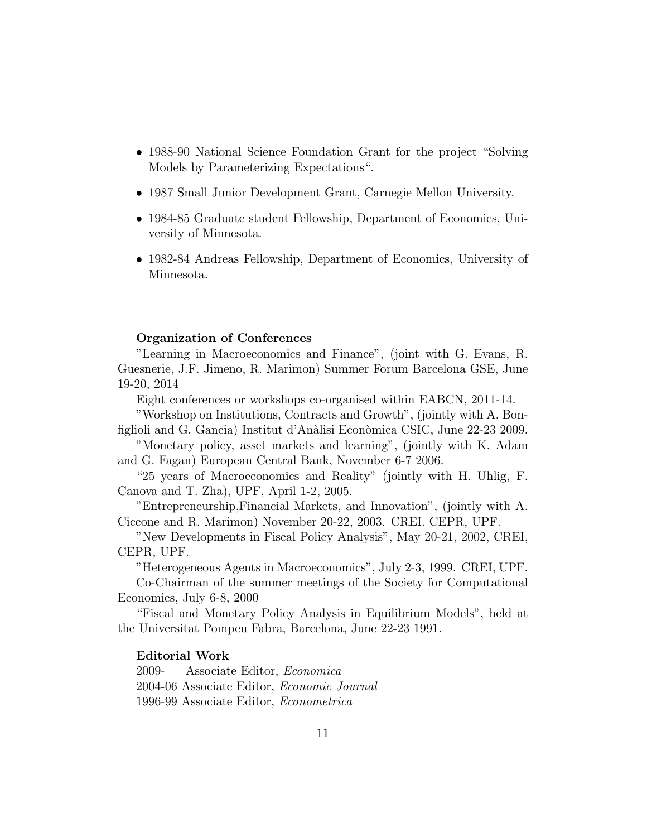- 1988-90 National Science Foundation Grant for the project "Solving" Models by Parameterizing Expectations".
- 1987 Small Junior Development Grant, Carnegie Mellon University.
- 1984-85 Graduate student Fellowship, Department of Economics, University of Minnesota.
- 1982-84 Andreas Fellowship, Department of Economics, University of Minnesota.

#### Organization of Conferences

"Learning in Macroeconomics and Finance", (joint with G. Evans, R. Guesnerie, J.F. Jimeno, R. Marimon) Summer Forum Barcelona GSE, June 19-20, 2014

Eight conferences or workshops co-organised within EABCN, 2011-14.

"Workshop on Institutions, Contracts and Growth", (jointly with A. Bon figlioli and G. Gancia) Institut d'Anàlisi Econòmica CSIC, June 22-23 2009.

"Monetary policy, asset markets and learning", (jointly with K. Adam and G. Fagan) European Central Bank, November 6-7 2006.

\25 years of Macroeconomics and Reality" (jointly with H. Uhlig, F. Canova and T. Zha), UPF, April 1-2, 2005.

"Entrepreneurship,Financial Markets, and Innovation", (jointly with A. Ciccone and R. Marimon) November 20-22, 2003. CREI. CEPR, UPF.

"New Developments in Fiscal Policy Analysis", May 20-21, 2002, CREI, CEPR, UPF.

"Heterogeneous Agents in Macroeconomics", July 2-3, 1999. CREI, UPF.

Co-Chairman of the summer meetings of the Society for Computational Economics, July 6-8, 2000

\Fiscal and Monetary Policy Analysis in Equilibrium Models", held at the Universitat Pompeu Fabra, Barcelona, June 22-23 1991.

#### Editorial Work

2009- Associate Editor, Economica 2004-06 Associate Editor, Economic Journal 1996-99 Associate Editor, Econometrica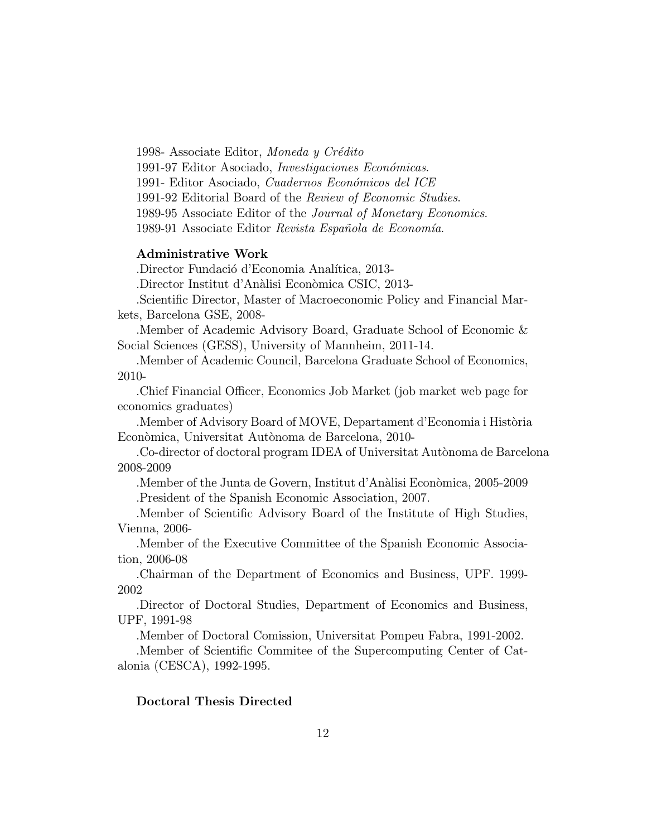1998- Associate Editor, Moneda y Credito 1991-97 Editor Asociado, *Investigaciones Económicas*. 1991- Editor Asociado, Cuadernos Económicos del ICE 1991-92 Editorial Board of the Review of Economic Studies. 1989-95 Associate Editor of the Journal of Monetary Economics. 1989-91 Associate Editor Revista Española de Economía.

## Administrative Work

.Director Fundacio d'Economia Analtica, 2013-

.Director Institut d'Analisi Economica CSIC, 2013-

.Scientic Director, Master of Macroeconomic Policy and Financial Markets, Barcelona GSE, 2008-

.Member of Academic Advisory Board, Graduate School of Economic & Social Sciences (GESS), University of Mannheim, 2011-14.

.Member of Academic Council, Barcelona Graduate School of Economics, 2010-

.Chief Financial Officer, Economics Job Market (job market web page for economics graduates)

. Member of Advisory Board of MOVE, Departament d'Economia i Història Econòmica, Universitat Autònoma de Barcelona, 2010-

.Co-director of doctoral program IDEA of Universitat Autonoma de Barcelona 2008-2009

.Member of the Junta de Govern, Institut d'Analisi Economica, 2005-2009 .President of the Spanish Economic Association, 2007.

.Member of Scientic Advisory Board of the Institute of High Studies, Vienna, 2006-

.Member of the Executive Committee of the Spanish Economic Association, 2006-08

.Chairman of the Department of Economics and Business, UPF. 1999- 2002

.Director of Doctoral Studies, Department of Economics and Business, UPF, 1991-98

.Member of Doctoral Comission, Universitat Pompeu Fabra, 1991-2002.

.Member of Scientic Commitee of the Supercomputing Center of Catalonia (CESCA), 1992-1995.

#### Doctoral Thesis Directed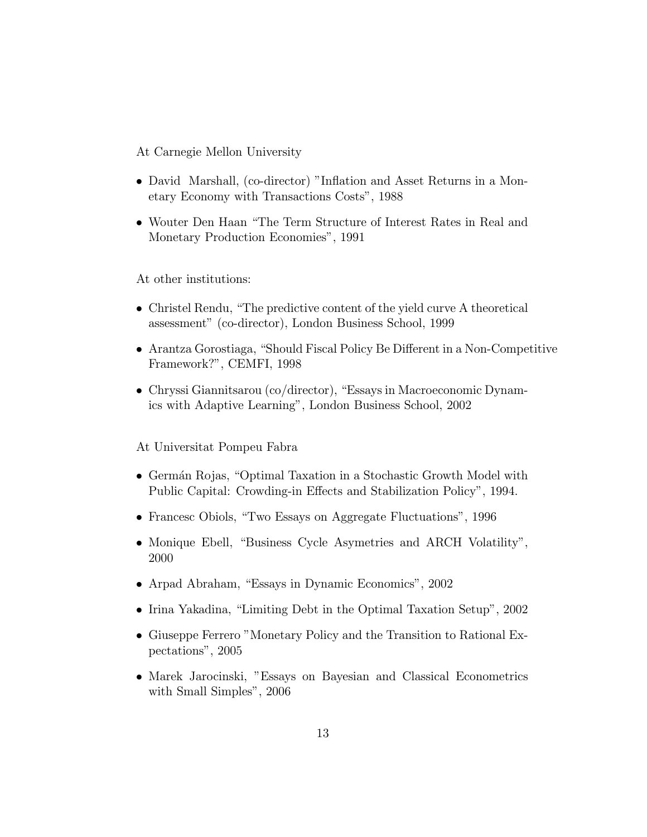At Carnegie Mellon University

- David Marshall, (co-director) "Inflation and Asset Returns in a Monetary Economy with Transactions Costs", 1988
- Wouter Den Haan "The Term Structure of Interest Rates in Real and Monetary Production Economies", 1991

At other institutions:

- Christel Rendu, "The predictive content of the yield curve A theoretical assessment" (co-director), London Business School, 1999
- $\bullet$  Arantza Gorostiaga, "Should Fiscal Policy Be Different in a Non-Competitive Framework?", CEMFI, 1998
- $\bullet$  Chryssi Giannitsarou (co/director), "Essays in Macroeconomic Dynamics with Adaptive Learning", London Business School, 2002

At Universitat Pompeu Fabra

- Germán Rojas, "Optimal Taxation in a Stochastic Growth Model with Public Capital: Crowding-in Effects and Stabilization Policy", 1994.
- Francesc Obiols, "Two Essays on Aggregate Fluctuations", 1996
- Monique Ebell, "Business Cycle Asymetries and ARCH Volatility", 2000
- Arpad Abraham, "Essays in Dynamic Economics", 2002
- Irina Yakadina, "Limiting Debt in the Optimal Taxation Setup", 2002
- Giuseppe Ferrero "Monetary Policy and the Transition to Rational Expectations", 2005
- Marek Jarocinski, "Essays on Bayesian and Classical Econometrics with Small Simples", 2006